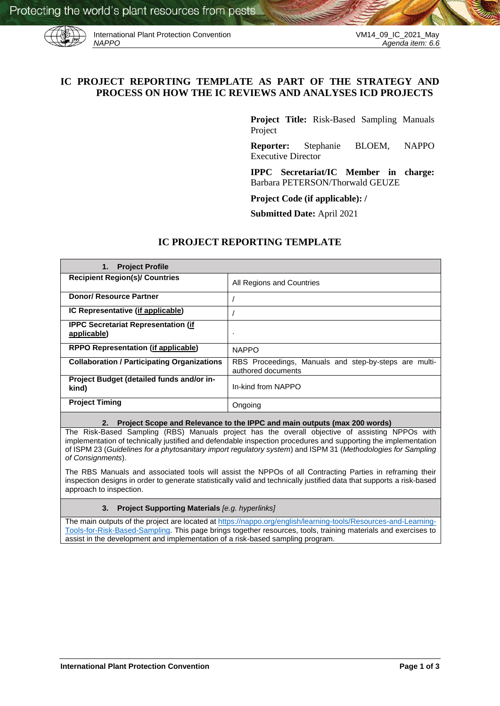

International Plant Protection Convention<br>*NAPPO* Agenda item: 6.6

# **IC PROJECT REPORTING TEMPLATE AS PART OF THE STRATEGY AND PROCESS ON HOW THE IC REVIEWS AND ANALYSES ICD PROJECTS**

**Project Title:** Risk-Based Sampling Manuals Project

**Reporter:** Stephanie BLOEM, NAPPO Executive Director

**IPPC Secretariat/IC Member in charge:**  Barbara PETERSON/Thorwald GEUZE

**Project Code (if applicable): /**

**Submitted Date:** April 2021

# **IC PROJECT REPORTING TEMPLATE**

| <b>Project Profile</b><br>1.                              |                                                                             |
|-----------------------------------------------------------|-----------------------------------------------------------------------------|
| <b>Recipient Region(s)/ Countries</b>                     | All Regions and Countries                                                   |
| <b>Donor/ Resource Partner</b>                            |                                                                             |
| IC Representative (if applicable)                         |                                                                             |
| <b>IPPC Secretariat Representation (if</b><br>applicable) |                                                                             |
| <b>RPPO Representation (if applicable)</b>                | <b>NAPPO</b>                                                                |
| <b>Collaboration / Participating Organizations</b>        | RBS Proceedings, Manuals and step-by-steps are multi-<br>authored documents |
| Project Budget (detailed funds and/or in-<br>kind)        | In-kind from NAPPO                                                          |
| <b>Project Timing</b>                                     | Ongoing                                                                     |

#### **2. Project Scope and Relevance to the IPPC and main outputs (max 200 words)**

The Risk-Based Sampling (RBS) Manuals project has the overall objective of assisting NPPOs with implementation of technically justified and defendable inspection procedures and supporting the implementation of ISPM 23 (*Guidelines for a phytosanitary import regulatory system*) and ISPM 31 (*Methodologies for Sampling of Consignments*).

The RBS Manuals and associated tools will assist the NPPOs of all Contracting Parties in reframing their inspection designs in order to generate statistically valid and technically justified data that supports a risk-based approach to inspection.

#### **3. Project Supporting Materials** *[e.g. hyperlinks]*

The main outputs of the project are located at [https://nappo.org/english/learning-tools/Resources-and-Learning-](https://nappo.org/english/learning-tools/Resources-and-Learning-Tools-for-Risk-Based-Sampling)[Tools-for-Risk-Based-Sampling.](https://nappo.org/english/learning-tools/Resources-and-Learning-Tools-for-Risk-Based-Sampling) This page brings together resources, tools, training materials and exercises to assist in the development and implementation of a risk-based sampling program.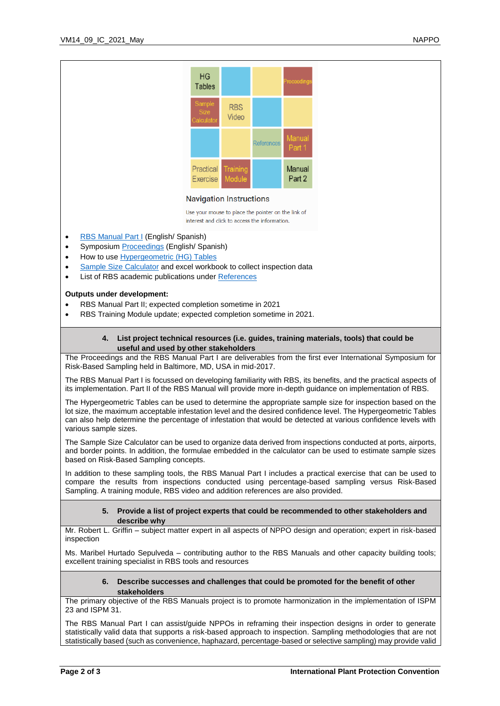

### **Navigation Instructions**

Use your mouse to place the pointer on the link of interest and click to access the information.

- [RBS Manual Part I](https://www.nappo.org/application/files/7916/1471/8930/Manual_RBS_Part_I_Eng_Final20200224.pdf) (English/ Spanish)
- Symposium [Proceedings](https://www.nappo.org/application/files/4215/8746/3813/RBS_Symposium_Proceedings_-10062018-e.pdf) (English/ Spanish)
- How to use [Hypergeometric \(HG\) Tables](https://www.nappo.org/application/files/7016/1299/5046/20210112_Version_1._Hypergeometric_tables-e_-_without_annex_title.pdf)
- [Sample Size Calculator](https://www.nappo.org/english/learning-tools/Resources-and-Learning-Tools-for-Risk-Based-Sampling/Sample-Size-Calculator) and excel workbook to collect inspection data
- List of RBS academic publications unde[r References](https://www.nappo.org/english/learning-tools/Resources-and-Learning-Tools-for-Risk-Based-Sampling/references)

# **Outputs under development:**

- RBS Manual Part II; expected completion sometime in 2021
- RBS Training Module update; expected completion sometime in 2021.

## **4. List project technical resources (i.e. guides, training materials, tools) that could be useful and used by other stakeholders**

The Proceedings and the RBS Manual Part I are deliverables from the first ever International Symposium for Risk-Based Sampling held in Baltimore, MD, USA in mid-2017.

The RBS Manual Part I is focussed on developing familiarity with RBS, its benefits, and the practical aspects of its implementation. Part II of the RBS Manual will provide more in-depth guidance on implementation of RBS.

The Hypergeometric Tables can be used to determine the appropriate sample size for inspection based on the lot size, the maximum acceptable infestation level and the desired confidence level. The Hypergeometric Tables can also help determine the percentage of infestation that would be detected at various confidence levels with various sample sizes.

The Sample Size Calculator can be used to organize data derived from inspections conducted at ports, airports, and border points. In addition, the formulae embedded in the calculator can be used to estimate sample sizes based on Risk-Based Sampling concepts.

In addition to these sampling tools, the RBS Manual Part I includes a practical exercise that can be used to compare the results from inspections conducted using percentage-based sampling versus Risk-Based Sampling. A training module, RBS video and addition references are also provided.

### **5. Provide a list of project experts that could be recommended to other stakeholders and describe why**

Mr. Robert L. Griffin – subject matter expert in all aspects of NPPO design and operation; expert in risk-based inspection

Ms. Maribel Hurtado Sepulveda – contributing author to the RBS Manuals and other capacity building tools; excellent training specialist in RBS tools and resources

#### **6. Describe successes and challenges that could be promoted for the benefit of other stakeholders**

The primary objective of the RBS Manuals project is to promote harmonization in the implementation of ISPM 23 and ISPM 31.

The RBS Manual Part I can assist/guide NPPOs in reframing their inspection designs in order to generate statistically valid data that supports a risk-based approach to inspection. Sampling methodologies that are not statistically based (such as convenience, haphazard, percentage-based or selective sampling) may provide valid